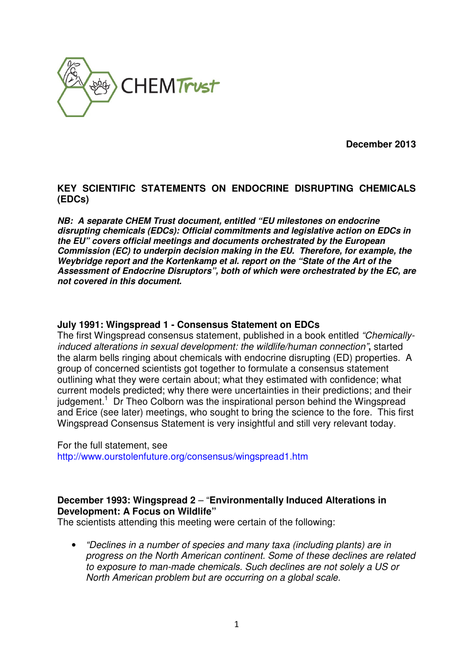

**December 2013** 

# **KEY SCIENTIFIC STATEMENTS ON ENDOCRINE DISRUPTING CHEMICALS (EDCs)**

**NB: A separate CHEM Trust document, entitled "EU milestones on endocrine disrupting chemicals (EDCs): Official commitments and legislative action on EDCs in the EU" covers official meetings and documents orchestrated by the European Commission (EC) to underpin decision making in the EU. Therefore, for example, the Weybridge report and the Kortenkamp et al. report on the "State of the Art of the Assessment of Endocrine Disruptors", both of which were orchestrated by the EC, are not covered in this document.** 

#### **July 1991: Wingspread 1 - Consensus Statement on EDCs**

The first Wingspread consensus statement, published in a book entitled "Chemicallyinduced alterations in sexual development: the wildlife/human connection"**,** started the alarm bells ringing about chemicals with endocrine disrupting (ED) properties. A group of concerned scientists got together to formulate a consensus statement outlining what they were certain about; what they estimated with confidence; what current models predicted; why there were uncertainties in their predictions; and their judgement.<sup>1</sup> Dr Theo Colborn was the inspirational person behind the Wingspread and Erice (see later) meetings, who sought to bring the science to the fore. This first Wingspread Consensus Statement is very insightful and still very relevant today.

For the full statement, see http://www.ourstolenfuture.org/consensus/wingspread1.htm

## **December 1993: Wingspread 2** – "**Environmentally Induced Alterations in Development: A Focus on Wildlife"**

The scientists attending this meeting were certain of the following:

• "Declines in a number of species and many taxa (including plants) are in progress on the North American continent. Some of these declines are related to exposure to man-made chemicals. Such declines are not solely a US or North American problem but are occurring on a global scale.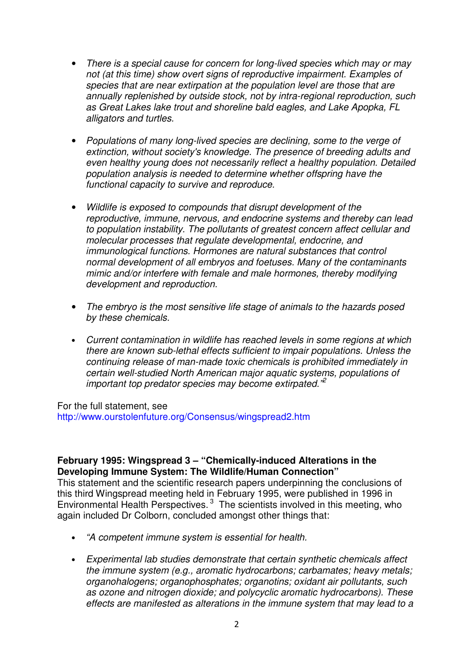- There is a special cause for concern for long-lived species which may or may not (at this time) show overt signs of reproductive impairment. Examples of species that are near extirpation at the population level are those that are annually replenished by outside stock, not by intra-regional reproduction, such as Great Lakes lake trout and shoreline bald eagles, and Lake Apopka, FL alligators and turtles.
- Populations of many long-lived species are declining, some to the verge of extinction, without society's knowledge. The presence of breeding adults and even healthy young does not necessarily reflect a healthy population. Detailed population analysis is needed to determine whether offspring have the functional capacity to survive and reproduce.
- Wildlife is exposed to compounds that disrupt development of the reproductive, immune, nervous, and endocrine systems and thereby can lead to population instability. The pollutants of greatest concern affect cellular and molecular processes that regulate developmental, endocrine, and immunological functions. Hormones are natural substances that control normal development of all embryos and foetuses. Many of the contaminants mimic and/or interfere with female and male hormones, thereby modifying development and reproduction.
- The embryo is the most sensitive life stage of animals to the hazards posed by these chemicals.
- Current contamination in wildlife has reached levels in some regions at which there are known sub-lethal effects sufficient to impair populations. Unless the continuing release of man-made toxic chemicals is prohibited immediately in certain well-studied North American major aquatic systems, populations of important top predator species may become extirpated.<sup>"2</sup>

For the full statement, see http://www.ourstolenfuture.org/Consensus/wingspread2.htm

### **February 1995: Wingspread 3 – "Chemically-induced Alterations in the Developing Immune System: The Wildlife/Human Connection"**

This statement and the scientific research papers underpinning the conclusions of this third Wingspread meeting held in February 1995, were published in 1996 in Environmental Health Perspectives.<sup>3</sup> The scientists involved in this meeting, who again included Dr Colborn, concluded amongst other things that:

- "A competent immune system is essential for health.
- Experimental lab studies demonstrate that certain synthetic chemicals affect the immune system (e.g., aromatic hydrocarbons; carbamates; heavy metals; organohalogens; organophosphates; organotins; oxidant air pollutants, such as ozone and nitrogen dioxide; and polycyclic aromatic hydrocarbons). These effects are manifested as alterations in the immune system that may lead to a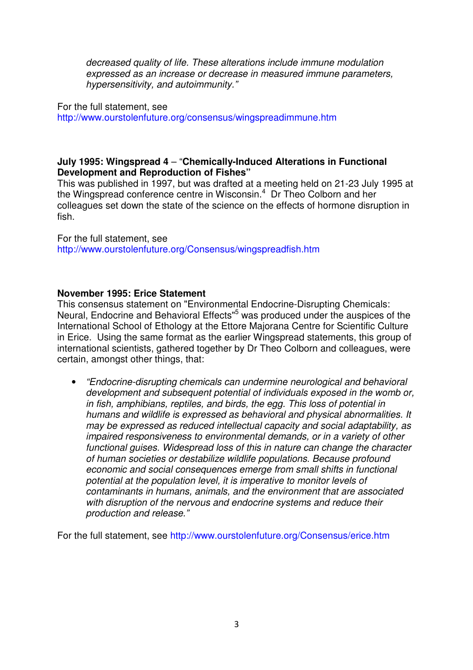decreased quality of life. These alterations include immune modulation expressed as an increase or decrease in measured immune parameters, hypersensitivity, and autoimmunity."

For the full statement, see http://www.ourstolenfuture.org/consensus/wingspreadimmune.htm

## **July 1995: Wingspread 4** – "**Chemically-Induced Alterations in Functional Development and Reproduction of Fishes"**

This was published in 1997, but was drafted at a meeting held on 21-23 July 1995 at the Wingspread conference centre in Wisconsin.<sup>4</sup> Dr Theo Colborn and her colleagues set down the state of the science on the effects of hormone disruption in fish.

For the full statement, see http://www.ourstolenfuture.org/Consensus/wingspreadfish.htm

#### **November 1995: Erice Statement**

This consensus statement on "Environmental Endocrine-Disrupting Chemicals: Neural, Endocrine and Behavioral Effects"<sup>5</sup> was produced under the auspices of the International School of Ethology at the Ettore Majorana Centre for Scientific Culture in Erice. Using the same format as the earlier Wingspread statements, this group of international scientists, gathered together by Dr Theo Colborn and colleagues, were certain, amongst other things, that:

• "Endocrine-disrupting chemicals can undermine neurological and behavioral development and subsequent potential of individuals exposed in the womb or, in fish, amphibians, reptiles, and birds, the egg. This loss of potential in humans and wildlife is expressed as behavioral and physical abnormalities. It may be expressed as reduced intellectual capacity and social adaptability, as impaired responsiveness to environmental demands, or in a variety of other functional guises. Widespread loss of this in nature can change the character of human societies or destabilize wildlife populations. Because profound economic and social consequences emerge from small shifts in functional potential at the population level, it is imperative to monitor levels of contaminants in humans, animals, and the environment that are associated with disruption of the nervous and endocrine systems and reduce their production and release."

For the full statement, see http://www.ourstolenfuture.org/Consensus/erice.htm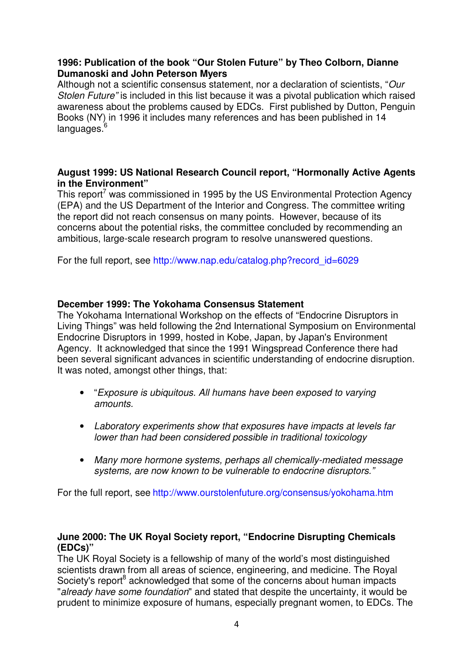## **1996: Publication of the book "Our Stolen Future" by Theo Colborn, Dianne Dumanoski and John Peterson Myers**

Although not a scientific consensus statement, nor a declaration of scientists, "Our Stolen Future" is included in this list because it was a pivotal publication which raised awareness about the problems caused by EDCs. First published by Dutton, Penguin Books (NY) in 1996 it includes many references and has been published in 14  $lanquaaes.<sup>6</sup>$ 

## **August 1999: US National Research Council report, "Hormonally Active Agents in the Environment"**

This report<sup>7</sup> was commissioned in 1995 by the US Environmental Protection Agency (EPA) and the US Department of the Interior and Congress. The committee writing the report did not reach consensus on many points. However, because of its concerns about the potential risks, the committee concluded by recommending an ambitious, large-scale research program to resolve unanswered questions.

For the full report, see http://www.nap.edu/catalog.php?record\_id=6029

## **December 1999: The Yokohama Consensus Statement**

The Yokohama International Workshop on the effects of "Endocrine Disruptors in Living Things" was held following the 2nd International Symposium on Environmental Endocrine Disruptors in 1999, hosted in Kobe, Japan, by Japan's Environment Agency. It acknowledged that since the 1991 Wingspread Conference there had been several significant advances in scientific understanding of endocrine disruption. It was noted, amongst other things, that:

- "Exposure is ubiquitous. All humans have been exposed to varying amounts.
- Laboratory experiments show that exposures have impacts at levels far lower than had been considered possible in traditional toxicology
- Many more hormone systems, perhaps all chemically-mediated message systems, are now known to be vulnerable to endocrine disruptors."

For the full report, see http://www.ourstolenfuture.org/consensus/yokohama.htm

## **June 2000: The UK Royal Society report, "Endocrine Disrupting Chemicals (EDCs)"**

The UK Royal Society is a fellowship of many of the world's most distinguished scientists drawn from all areas of science, engineering, and medicine. The Royal Society's report<sup>8</sup> acknowledged that some of the concerns about human impacts "already have some foundation" and stated that despite the uncertainty, it would be prudent to minimize exposure of humans, especially pregnant women, to EDCs. The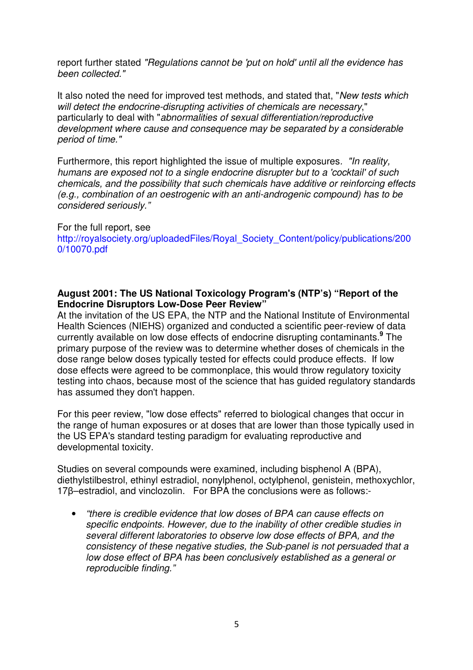report further stated "Regulations cannot be 'put on hold' until all the evidence has been collected."

It also noted the need for improved test methods, and stated that, "New tests which will detect the endocrine-disrupting activities of chemicals are necessary," particularly to deal with "abnormalities of sexual differentiation/reproductive development where cause and consequence may be separated by a considerable period of time."

Furthermore, this report highlighted the issue of multiple exposures. "In reality, humans are exposed not to a single endocrine disrupter but to a 'cocktail' of such chemicals, and the possibility that such chemicals have additive or reinforcing effects (e.g., combination of an oestrogenic with an anti-androgenic compound) has to be considered seriously."

#### For the full report, see http://royalsociety.org/uploadedFiles/Royal\_Society\_Content/policy/publications/200 0/10070.pdf

## **August 2001: The US National Toxicology Program's (NTP's) "Report of the Endocrine Disruptors Low-Dose Peer Review"**

At the invitation of the US EPA, the NTP and the National Institute of Environmental Health Sciences (NIEHS) organized and conducted a scientific peer-review of data currently available on low dose effects of endocrine disrupting contaminants.**<sup>9</sup>** The primary purpose of the review was to determine whether doses of chemicals in the dose range below doses typically tested for effects could produce effects. If low dose effects were agreed to be commonplace, this would throw regulatory toxicity testing into chaos, because most of the science that has guided regulatory standards has assumed they don't happen.

For this peer review, "low dose effects" referred to biological changes that occur in the range of human exposures or at doses that are lower than those typically used in the US EPA's standard testing paradigm for evaluating reproductive and developmental toxicity.

Studies on several compounds were examined, including bisphenol A (BPA), diethylstilbestrol, ethinyl estradiol, nonylphenol, octylphenol, genistein, methoxychlor, 17β–estradiol, and vinclozolin. For BPA the conclusions were as follows:-

• "there is credible evidence that low doses of BPA can cause effects on specific endpoints. However, due to the inability of other credible studies in several different laboratories to observe low dose effects of BPA, and the consistency of these negative studies, the Sub-panel is not persuaded that a low dose effect of BPA has been conclusively established as a general or reproducible finding."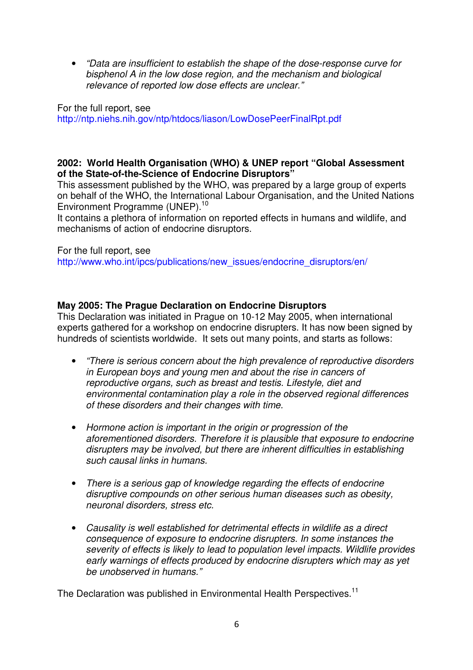• "Data are insufficient to establish the shape of the dose-response curve for bisphenol A in the low dose region, and the mechanism and biological relevance of reported low dose effects are unclear."

For the full report, see http://ntp.niehs.nih.gov/ntp/htdocs/liason/LowDosePeerFinalRpt.pdf

## **2002: World Health Organisation (WHO) & UNEP report "Global Assessment of the State-of-the-Science of Endocrine Disruptors"**

This assessment published by the WHO, was prepared by a large group of experts on behalf of the WHO, the International Labour Organisation, and the United Nations Environment Programme (UNEP).<sup>10</sup>

It contains a plethora of information on reported effects in humans and wildlife, and mechanisms of action of endocrine disruptors.

For the full report, see

http://www.who.int/ipcs/publications/new\_issues/endocrine\_disruptors/en/

## **May 2005: The Prague Declaration on Endocrine Disruptors**

This Declaration was initiated in Prague on 10-12 May 2005, when international experts gathered for a workshop on endocrine disrupters. It has now been signed by hundreds of scientists worldwide. It sets out many points, and starts as follows:

- "There is serious concern about the high prevalence of reproductive disorders in European boys and young men and about the rise in cancers of reproductive organs, such as breast and testis. Lifestyle, diet and environmental contamination play a role in the observed regional differences of these disorders and their changes with time.
- Hormone action is important in the origin or progression of the aforementioned disorders. Therefore it is plausible that exposure to endocrine disrupters may be involved, but there are inherent difficulties in establishing such causal links in humans.
- There is a serious gap of knowledge regarding the effects of endocrine disruptive compounds on other serious human diseases such as obesity, neuronal disorders, stress etc.
- Causality is well established for detrimental effects in wildlife as a direct consequence of exposure to endocrine disrupters. In some instances the severity of effects is likely to lead to population level impacts. Wildlife provides early warnings of effects produced by endocrine disrupters which may as yet be unobserved in humans."

The Declaration was published in Environmental Health Perspectives.<sup>11</sup>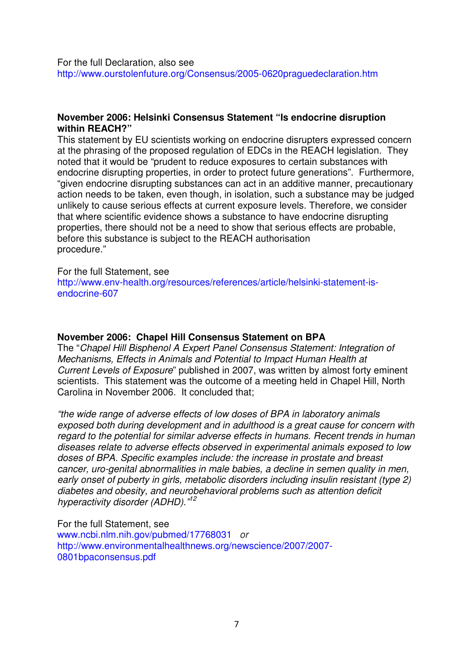For the full Declaration, also see http://www.ourstolenfuture.org/Consensus/2005-0620praguedeclaration.htm

#### **November 2006: Helsinki Consensus Statement "Is endocrine disruption within REACH?"**

This statement by EU scientists working on endocrine disrupters expressed concern at the phrasing of the proposed regulation of EDCs in the REACH legislation. They noted that it would be "prudent to reduce exposures to certain substances with endocrine disrupting properties, in order to protect future generations". Furthermore, "given endocrine disrupting substances can act in an additive manner, precautionary action needs to be taken, even though, in isolation, such a substance may be judged unlikely to cause serious effects at current exposure levels. Therefore, we consider that where scientific evidence shows a substance to have endocrine disrupting properties, there should not be a need to show that serious effects are probable, before this substance is subject to the REACH authorisation procedure."

#### For the full Statement, see

http://www.env-health.org/resources/references/article/helsinki-statement-isendocrine-607

#### **November 2006: Chapel Hill Consensus Statement on BPA**

The "Chapel Hill Bisphenol A Expert Panel Consensus Statement: Integration of Mechanisms, Effects in Animals and Potential to Impact Human Health at Current Levels of Exposure" published in 2007, was written by almost forty eminent scientists. This statement was the outcome of a meeting held in Chapel Hill, North Carolina in November 2006. It concluded that;

"the wide range of adverse effects of low doses of BPA in laboratory animals exposed both during development and in adulthood is a great cause for concern with regard to the potential for similar adverse effects in humans. Recent trends in human diseases relate to adverse effects observed in experimental animals exposed to low doses of BPA. Specific examples include: the increase in prostate and breast cancer, uro-genital abnormalities in male babies, a decline in semen quality in men, early onset of puberty in girls, metabolic disorders including insulin resistant (type 2) diabetes and obesity, and neurobehavioral problems such as attention deficit hyperactivity disorder (ADHD)."<sup>12</sup>

For the full Statement, see www.ncbi.nlm.nih.gov/pubmed/17768031 or http://www.environmentalhealthnews.org/newscience/2007/2007- 0801bpaconsensus.pdf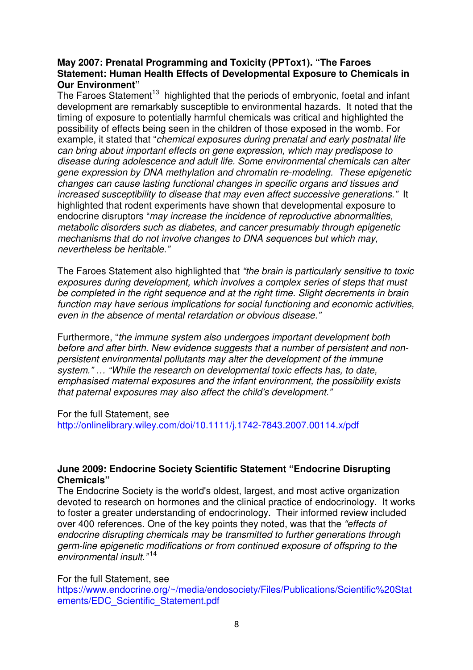## **May 2007: Prenatal Programming and Toxicity (PPTox1). "The Faroes Statement: Human Health Effects of Developmental Exposure to Chemicals in Our Environment"**

The Faroes Statement<sup>13</sup> highlighted that the periods of embryonic, foetal and infant development are remarkably susceptible to environmental hazards. It noted that the timing of exposure to potentially harmful chemicals was critical and highlighted the possibility of effects being seen in the children of those exposed in the womb. For example, it stated that "chemical exposures during prenatal and early postnatal life can bring about important effects on gene expression, which may predispose to disease during adolescence and adult life. Some environmental chemicals can alter gene expression by DNA methylation and chromatin re-modeling. These epigenetic changes can cause lasting functional changes in specific organs and tissues and increased susceptibility to disease that may even affect successive generations." It highlighted that rodent experiments have shown that developmental exposure to endocrine disruptors "may increase the incidence of reproductive abnormalities, metabolic disorders such as diabetes, and cancer presumably through epigenetic mechanisms that do not involve changes to DNA sequences but which may, nevertheless be heritable."

The Faroes Statement also highlighted that "the brain is particularly sensitive to toxic exposures during development, which involves a complex series of steps that must be completed in the right sequence and at the right time. Slight decrements in brain function may have serious implications for social functioning and economic activities, even in the absence of mental retardation or obvious disease."

Furthermore, "the immune system also undergoes important development both before and after birth. New evidence suggests that a number of persistent and nonpersistent environmental pollutants may alter the development of the immune system." … "While the research on developmental toxic effects has, to date, emphasised maternal exposures and the infant environment, the possibility exists that paternal exposures may also affect the child's development."

For the full Statement, see

http://onlinelibrary.wiley.com/doi/10.1111/j.1742-7843.2007.00114.x/pdf

## **June 2009: Endocrine Society Scientific Statement "Endocrine Disrupting Chemicals"**

The Endocrine Society is the world's oldest, largest, and most active organization devoted to research on hormones and the clinical practice of endocrinology. It works to foster a greater understanding of endocrinology. Their informed review included over 400 references. One of the key points they noted, was that the "effects of endocrine disrupting chemicals may be transmitted to further generations through germ-line epigenetic modifications or from continued exposure of offspring to the environmental insult."<sup>14</sup>

For the full Statement, see

https://www.endocrine.org/~/media/endosociety/Files/Publications/Scientific%20Stat ements/EDC\_Scientific\_Statement.pdf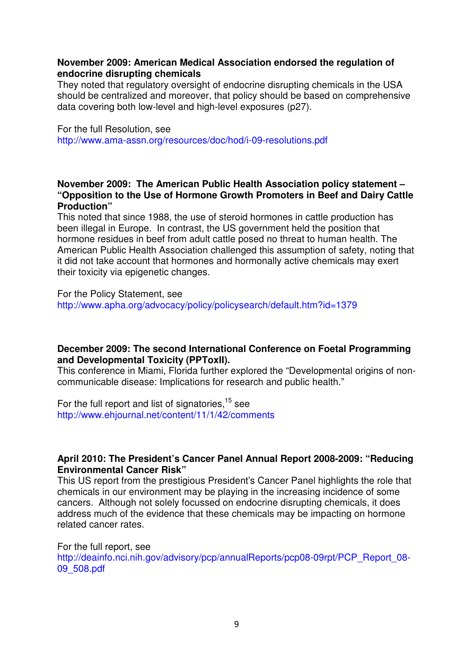#### **November 2009: American Medical Association endorsed the regulation of endocrine disrupting chemicals**

They noted that regulatory oversight of endocrine disrupting chemicals in the USA should be centralized and moreover, that policy should be based on comprehensive data covering both low-level and high-level exposures (p27).

For the full Resolution, see http://www.ama-assn.org/resources/doc/hod/i-09-resolutions.pdf

## **November 2009: The American Public Health Association policy statement – "Opposition to the Use of Hormone Growth Promoters in Beef and Dairy Cattle Production"**

This noted that since 1988, the use of steroid hormones in cattle production has been illegal in Europe. In contrast, the US government held the position that hormone residues in beef from adult cattle posed no threat to human health. The American Public Health Association challenged this assumption of safety, noting that it did not take account that hormones and hormonally active chemicals may exert their toxicity via epigenetic changes.

#### For the Policy Statement, see

http://www.apha.org/advocacy/policy/policysearch/default.htm?id=1379

## **December 2009: The second International Conference on Foetal Programming and Developmental Toxicity (PPToxII).**

This conference in Miami, Florida further explored the "Developmental origins of noncommunicable disease: Implications for research and public health."

For the full report and list of signatories.<sup>15</sup> see http://www.ehjournal.net/content/11/1/42/comments

## **April 2010: The President's Cancer Panel Annual Report 2008-2009: "Reducing Environmental Cancer Risk"**

This US report from the prestigious President's Cancer Panel highlights the role that chemicals in our environment may be playing in the increasing incidence of some cancers. Although not solely focussed on endocrine disrupting chemicals, it does address much of the evidence that these chemicals may be impacting on hormone related cancer rates.

For the full report, see http://deainfo.nci.nih.gov/advisory/pcp/annualReports/pcp08-09rpt/PCP\_Report\_08-09\_508.pdf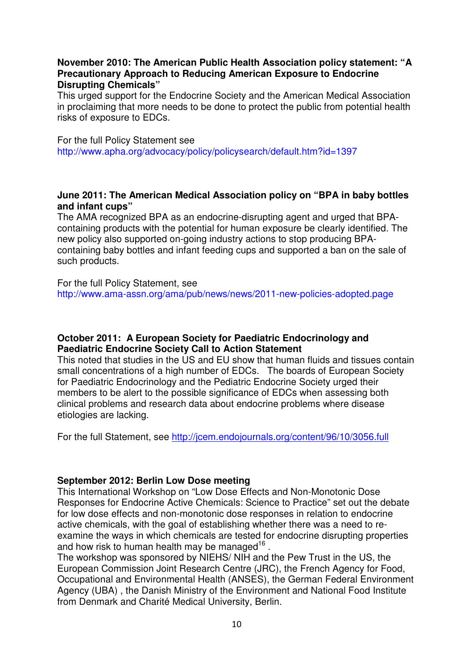## **November 2010: The American Public Health Association policy statement: "A Precautionary Approach to Reducing American Exposure to Endocrine Disrupting Chemicals"**

This urged support for the Endocrine Society and the American Medical Association in proclaiming that more needs to be done to protect the public from potential health risks of exposure to EDCs.

#### For the full Policy Statement see

http://www.apha.org/advocacy/policy/policysearch/default.htm?id=1397

#### **June 2011: The American Medical Association policy on "BPA in baby bottles and infant cups"**

The AMA recognized BPA as an endocrine-disrupting agent and urged that BPAcontaining products with the potential for human exposure be clearly identified. The new policy also supported on-going industry actions to stop producing BPAcontaining baby bottles and infant feeding cups and supported a ban on the sale of such products.

For the full Policy Statement, see http://www.ama-assn.org/ama/pub/news/news/2011-new-policies-adopted.page

#### **October 2011: A European Society for Paediatric Endocrinology and Paediatric Endocrine Society Call to Action Statement**

This noted that studies in the US and EU show that human fluids and tissues contain small concentrations of a high number of EDCs. The boards of European Society for Paediatric Endocrinology and the Pediatric Endocrine Society urged their members to be alert to the possible significance of EDCs when assessing both clinical problems and research data about endocrine problems where disease etiologies are lacking.

For the full Statement, see http://jcem.endojournals.org/content/96/10/3056.full

### **September 2012: Berlin Low Dose meeting**

This International Workshop on "Low Dose Effects and Non-Monotonic Dose Responses for Endocrine Active Chemicals: Science to Practice" set out the debate for low dose effects and non-monotonic dose responses in relation to endocrine active chemicals, with the goal of establishing whether there was a need to reexamine the ways in which chemicals are tested for endocrine disrupting properties and how risk to human health may be managed $^{16}$  .

The workshop was sponsored by NIEHS/ NIH and the Pew Trust in the US, the European Commission Joint Research Centre (JRC), the French Agency for Food, Occupational and Environmental Health (ANSES), the German Federal Environment Agency (UBA) , the Danish Ministry of the Environment and National Food Institute from Denmark and Charité Medical University, Berlin.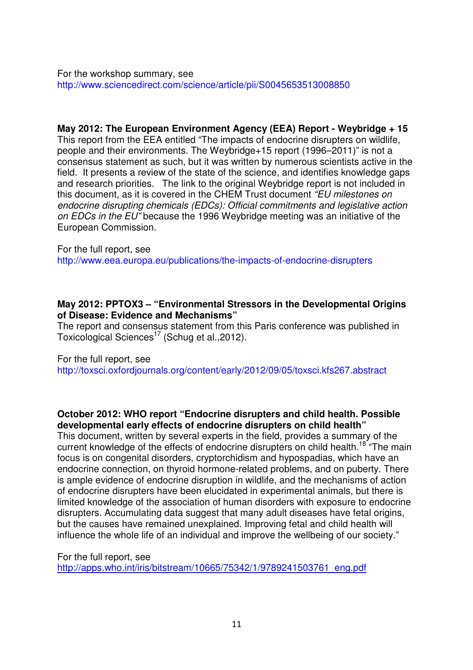For the workshop summary, see http://www.sciencedirect.com/science/article/pii/S0045653513008850

**May 2012: The European Environment Agency (EEA) Report - Weybridge + 15** 

This report from the EEA entitled "The impacts of endocrine disrupters on wildlife, people and their environments. The Weybridge+15 report (1996–2011)" is not a consensus statement as such, but it was written by numerous scientists active in the field. It presents a review of the state of the science, and identifies knowledge gaps and research priorities. The link to the original Weybridge report is not included in this document, as it is covered in the CHEM Trust document "EU milestones on endocrine disrupting chemicals (EDCs): Official commitments and legislative action on EDCs in the EU" because the 1996 Weybridge meeting was an initiative of the European Commission.

For the full report, see http://www.eea.europa.eu/publications/the-impacts-of-endocrine-disrupters

#### **May 2012: PPTOX3 – "Environmental Stressors in the Developmental Origins of Disease: Evidence and Mechanisms"**

The report and consensus statement from this Paris conference was published in Toxicological Sciences<sup>17</sup> (Schug et al., 2012).

For the full report, see

http://toxsci.oxfordjournals.org/content/early/2012/09/05/toxsci.kfs267.abstract

### **October 2012: WHO report "Endocrine disrupters and child health. Possible developmental early effects of endocrine disrupters on child health"**

This document, written by several experts in the field, provides a summary of the current knowledge of the effects of endocrine disrupters on child health.<sup>18</sup> "The main focus is on congenital disorders, cryptorchidism and hypospadias, which have an endocrine connection, on thyroid hormone-related problems, and on puberty. There is ample evidence of endocrine disruption in wildlife, and the mechanisms of action of endocrine disrupters have been elucidated in experimental animals, but there is limited knowledge of the association of human disorders with exposure to endocrine disrupters. Accumulating data suggest that many adult diseases have fetal origins, but the causes have remained unexplained. Improving fetal and child health will influence the whole life of an individual and improve the wellbeing of our society."

For the full report, see http://apps.who.int/iris/bitstream/10665/75342/1/9789241503761\_eng.pdf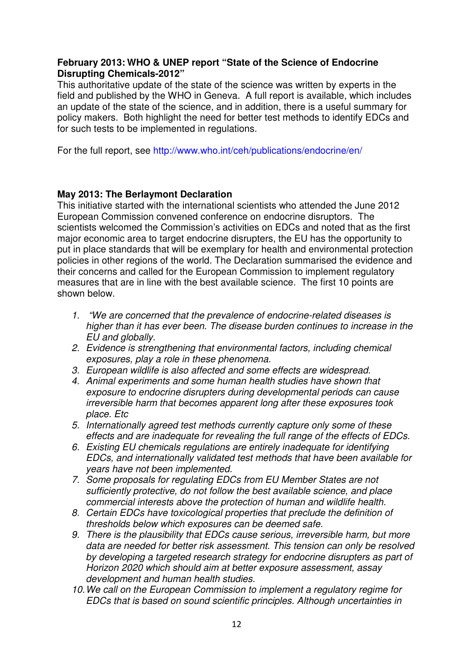## **February 2013: WHO & UNEP report "State of the Science of Endocrine Disrupting Chemicals-2012"**

This authoritative update of the state of the science was written by experts in the field and published by the WHO in Geneva. A full report is available, which includes an update of the state of the science, and in addition, there is a useful summary for policy makers. Both highlight the need for better test methods to identify EDCs and for such tests to be implemented in regulations.

For the full report, see http://www.who.int/ceh/publications/endocrine/en/

# **May 2013: The Berlaymont Declaration**

This initiative started with the international scientists who attended the June 2012 European Commission convened conference on endocrine disruptors. The scientists welcomed the Commission's activities on EDCs and noted that as the first major economic area to target endocrine disrupters, the EU has the opportunity to put in place standards that will be exemplary for health and environmental protection policies in other regions of the world. The Declaration summarised the evidence and their concerns and called for the European Commission to implement regulatory measures that are in line with the best available science. The first 10 points are shown below.

- 1. "We are concerned that the prevalence of endocrine-related diseases is higher than it has ever been. The disease burden continues to increase in the EU and globally.
- 2. Evidence is strengthening that environmental factors, including chemical exposures, play a role in these phenomena.
- 3. European wildlife is also affected and some effects are widespread.
- 4. Animal experiments and some human health studies have shown that exposure to endocrine disrupters during developmental periods can cause irreversible harm that becomes apparent long after these exposures took place. Etc
- 5. Internationally agreed test methods currently capture only some of these effects and are inadequate for revealing the full range of the effects of EDCs.
- 6. Existing EU chemicals regulations are entirely inadequate for identifying EDCs, and internationally validated test methods that have been available for years have not been implemented.
- 7. Some proposals for regulating EDCs from EU Member States are not sufficiently protective, do not follow the best available science, and place commercial interests above the protection of human and wildlife health.
- 8. Certain EDCs have toxicological properties that preclude the definition of thresholds below which exposures can be deemed safe.
- 9. There is the plausibility that EDCs cause serious, irreversible harm, but more data are needed for better risk assessment. This tension can only be resolved by developing a targeted research strategy for endocrine disrupters as part of Horizon 2020 which should aim at better exposure assessment, assay development and human health studies.
- 10. We call on the European Commission to implement a regulatory regime for EDCs that is based on sound scientific principles. Although uncertainties in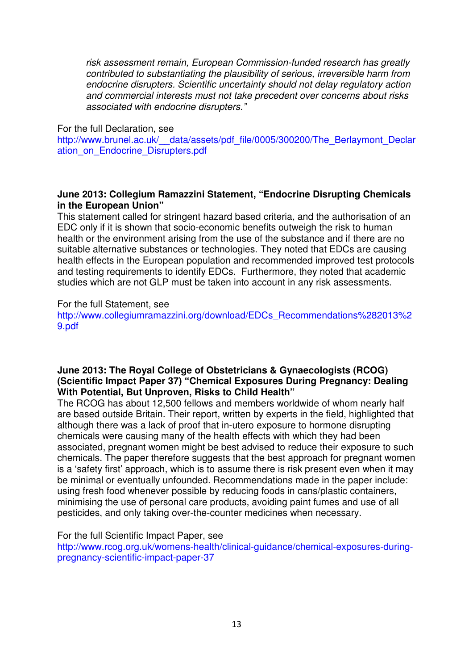risk assessment remain, European Commission-funded research has greatly contributed to substantiating the plausibility of serious, irreversible harm from endocrine disrupters. Scientific uncertainty should not delay regulatory action and commercial interests must not take precedent over concerns about risks associated with endocrine disrupters."

#### For the full Declaration, see

http://www.brunel.ac.uk/ data/assets/pdf file/0005/300200/The Berlaymont Declar ation on Endocrine Disrupters.pdf

#### **June 2013: Collegium Ramazzini Statement, "Endocrine Disrupting Chemicals in the European Union"**

This statement called for stringent hazard based criteria, and the authorisation of an EDC only if it is shown that socio-economic benefits outweigh the risk to human health or the environment arising from the use of the substance and if there are no suitable alternative substances or technologies. They noted that EDCs are causing health effects in the European population and recommended improved test protocols and testing requirements to identify EDCs. Furthermore, they noted that academic studies which are not GLP must be taken into account in any risk assessments.

For the full Statement, see

http://www.collegiumramazzini.org/download/EDCs\_Recommendations%282013%2 9.pdf

## **June 2013: The Royal College of Obstetricians & Gynaecologists (RCOG) (Scientific Impact Paper 37) "Chemical Exposures During Pregnancy: Dealing With Potential, But Unproven, Risks to Child Health"**

The RCOG has about 12,500 fellows and members worldwide of whom nearly half are based outside Britain. Their report, written by experts in the field, highlighted that although there was a lack of proof that in-utero exposure to hormone disrupting chemicals were causing many of the health effects with which they had been associated, pregnant women might be best advised to reduce their exposure to such chemicals. The paper therefore suggests that the best approach for pregnant women is a 'safety first' approach, which is to assume there is risk present even when it may be minimal or eventually unfounded. Recommendations made in the paper include: using fresh food whenever possible by reducing foods in cans/plastic containers, minimising the use of personal care products, avoiding paint fumes and use of all pesticides, and only taking over-the-counter medicines when necessary.

### For the full Scientific Impact Paper, see

http://www.rcog.org.uk/womens-health/clinical-guidance/chemical-exposures-duringpregnancy-scientific-impact-paper-37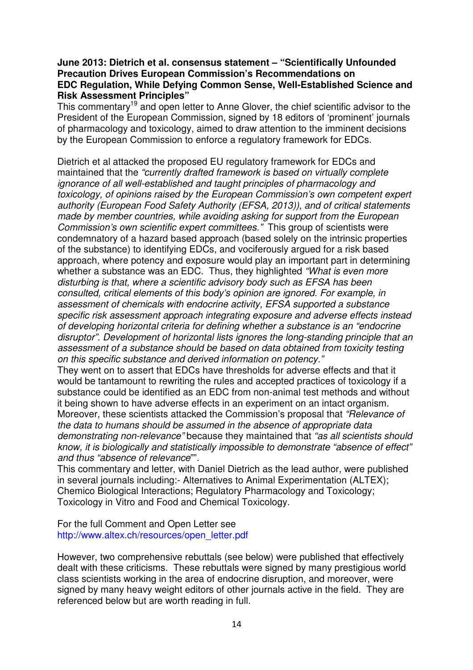#### **June 2013: Dietrich et al. consensus statement – "Scientifically Unfounded Precaution Drives European Commission's Recommendations on EDC Regulation, While Defying Common Sense, Well-Established Science and Risk Assessment Principles"**

This commentary<sup>19</sup> and open letter to Anne Glover, the chief scientific advisor to the President of the European Commission, signed by 18 editors of 'prominent' journals of pharmacology and toxicology, aimed to draw attention to the imminent decisions by the European Commission to enforce a regulatory framework for EDCs.

Dietrich et al attacked the proposed EU regulatory framework for EDCs and maintained that the "currently drafted framework is based on virtually complete ignorance of all well-established and taught principles of pharmacology and toxicology, of opinions raised by the European Commission's own competent expert authority (European Food Safety Authority (EFSA, 2013)), and of critical statements made by member countries, while avoiding asking for support from the European Commission's own scientific expert committees." This group of scientists were condemnatory of a hazard based approach (based solely on the intrinsic properties of the substance) to identifying EDCs, and vociferously argued for a risk based approach, where potency and exposure would play an important part in determining whether a substance was an EDC. Thus, they highlighted "What is even more" disturbing is that, where a scientific advisory body such as EFSA has been consulted, critical elements of this body's opinion are ignored. For example, in assessment of chemicals with endocrine activity, EFSA supported a substance specific risk assessment approach integrating exposure and adverse effects instead of developing horizontal criteria for defining whether a substance is an "endocrine disruptor". Development of horizontal lists ignores the long-standing principle that an assessment of a substance should be based on data obtained from toxicity testing on this specific substance and derived information on potency."

They went on to assert that EDCs have thresholds for adverse effects and that it would be tantamount to rewriting the rules and accepted practices of toxicology if a substance could be identified as an EDC from non-animal test methods and without it being shown to have adverse effects in an experiment on an intact organism. Moreover, these scientists attacked the Commission's proposal that "Relevance of the data to humans should be assumed in the absence of appropriate data demonstrating non-relevance" because they maintained that "as all scientists should know, it is biologically and statistically impossible to demonstrate "absence of effect" and thus "absence of relevance"".

This commentary and letter, with Daniel Dietrich as the lead author, were published in several journals including:- Alternatives to Animal Experimentation (ALTEX); Chemico Biological Interactions; Regulatory Pharmacology and Toxicology; Toxicology in Vitro and Food and Chemical Toxicology.

For the full Comment and Open Letter see http://www.altex.ch/resources/open\_letter.pdf

However, two comprehensive rebuttals (see below) were published that effectively dealt with these criticisms. These rebuttals were signed by many prestigious world class scientists working in the area of endocrine disruption, and moreover, were signed by many heavy weight editors of other journals active in the field. They are referenced below but are worth reading in full.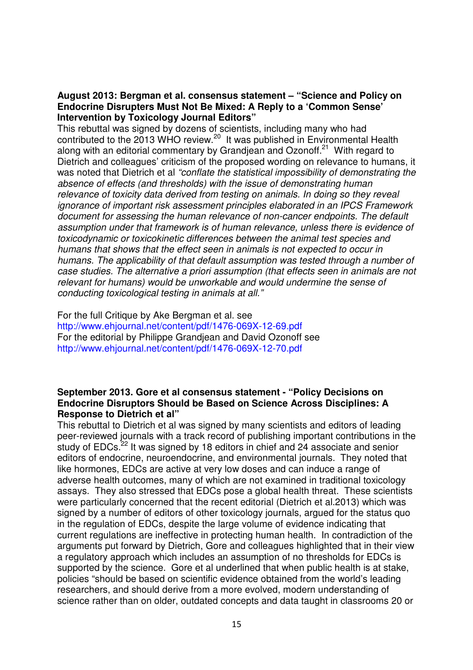#### **August 2013: Bergman et al. consensus statement – "Science and Policy on Endocrine Disrupters Must Not Be Mixed: A Reply to a 'Common Sense' Intervention by Toxicology Journal Editors"**

This rebuttal was signed by dozens of scientists, including many who had contributed to the 2013 WHO review.<sup>20</sup> It was published in Environmental Health along with an editorial commentary by Grandjean and Ozonoff. $21$  With regard to Dietrich and colleagues' criticism of the proposed wording on relevance to humans, it was noted that Dietrich et al "conflate the statistical impossibility of demonstrating the absence of effects (and thresholds) with the issue of demonstrating human relevance of toxicity data derived from testing on animals. In doing so they reveal ignorance of important risk assessment principles elaborated in an IPCS Framework document for assessing the human relevance of non-cancer endpoints. The default assumption under that framework is of human relevance, unless there is evidence of toxicodynamic or toxicokinetic differences between the animal test species and humans that shows that the effect seen in animals is not expected to occur in humans. The applicability of that default assumption was tested through a number of case studies. The alternative a priori assumption (that effects seen in animals are not relevant for humans) would be unworkable and would undermine the sense of conducting toxicological testing in animals at all."

For the full Critique by Ake Bergman et al. see http://www.ehjournal.net/content/pdf/1476-069X-12-69.pdf For the editorial by Philippe Grandjean and David Ozonoff see http://www.ehjournal.net/content/pdf/1476-069X-12-70.pdf

### **September 2013. Gore et al consensus statement - "Policy Decisions on Endocrine Disruptors Should be Based on Science Across Disciplines: A Response to Dietrich et al"**

This rebuttal to Dietrich et al was signed by many scientists and editors of leading peer-reviewed journals with a track record of publishing important contributions in the study of EDCs.<sup>22</sup> It was signed by 18 editors in chief and 24 associate and senior editors of endocrine, neuroendocrine, and environmental journals. They noted that like hormones, EDCs are active at very low doses and can induce a range of adverse health outcomes, many of which are not examined in traditional toxicology assays. They also stressed that EDCs pose a global health threat. These scientists were particularly concerned that the recent editorial (Dietrich et al.2013) which was signed by a number of editors of other toxicology journals, argued for the status quo in the regulation of EDCs, despite the large volume of evidence indicating that current regulations are ineffective in protecting human health. In contradiction of the arguments put forward by Dietrich, Gore and colleagues highlighted that in their view a regulatory approach which includes an assumption of no thresholds for EDCs is supported by the science. Gore et al underlined that when public health is at stake, policies "should be based on scientific evidence obtained from the world's leading researchers, and should derive from a more evolved, modern understanding of science rather than on older, outdated concepts and data taught in classrooms 20 or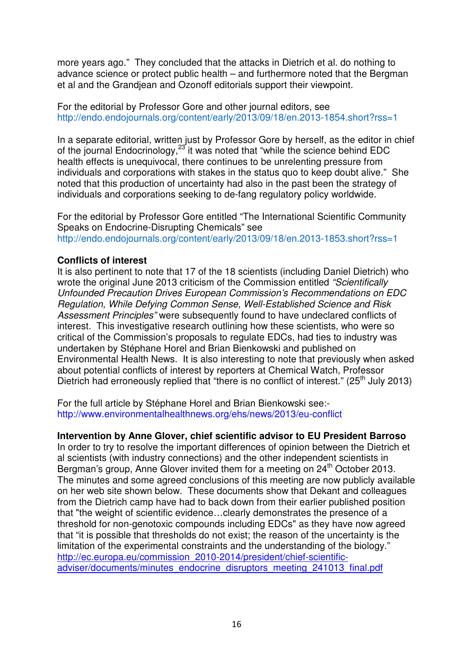more years ago." They concluded that the attacks in Dietrich et al. do nothing to advance science or protect public health – and furthermore noted that the Bergman et al and the Grandjean and Ozonoff editorials support their viewpoint.

For the editorial by Professor Gore and other journal editors, see http://endo.endojournals.org/content/early/2013/09/18/en.2013-1854.short?rss=1

In a separate editorial, written just by Professor Gore by herself, as the editor in chief of the journal Endocrinology,<sup>23</sup> it was noted that "while the science behind EDC health effects is unequivocal, there continues to be unrelenting pressure from individuals and corporations with stakes in the status quo to keep doubt alive." She noted that this production of uncertainty had also in the past been the strategy of individuals and corporations seeking to de-fang regulatory policy worldwide.

For the editorial by Professor Gore entitled "The International Scientific Community Speaks on Endocrine-Disrupting Chemicals" see http://endo.endojournals.org/content/early/2013/09/18/en.2013-1853.short?rss=1

#### **Conflicts of interest**

It is also pertinent to note that 17 of the 18 scientists (including Daniel Dietrich) who wrote the original June 2013 criticism of the Commission entitled "Scientifically Unfounded Precaution Drives European Commission's Recommendations on EDC Regulation, While Defying Common Sense, Well-Established Science and Risk Assessment Principles" were subsequently found to have undeclared conflicts of interest. This investigative research outlining how these scientists, who were so critical of the Commission's proposals to regulate EDCs, had ties to industry was undertaken by Stéphane Horel and Brian Bienkowski and published on Environmental Health News. It is also interesting to note that previously when asked about potential conflicts of interest by reporters at Chemical Watch, Professor Dietrich had erroneously replied that "there is no conflict of interest." (25<sup>th</sup> July 2013)

For the full article by Stéphane Horel and Brian Bienkowski see: http://www.environmentalhealthnews.org/ehs/news/2013/eu-conflict

#### **Intervention by Anne Glover, chief scientific advisor to EU President Barroso**

In order to try to resolve the important differences of opinion between the Dietrich et al scientists (with industry connections) and the other independent scientists in Bergman's group, Anne Glover invited them for a meeting on 24<sup>th</sup> October 2013. The minutes and some agreed conclusions of this meeting are now publicly available on her web site shown below. These documents show that Dekant and colleagues from the Dietrich camp have had to back down from their earlier published position that "the weight of scientific evidence…clearly demonstrates the presence of a threshold for non-genotoxic compounds including EDCs" as they have now agreed that "it is possible that thresholds do not exist; the reason of the uncertainty is the limitation of the experimental constraints and the understanding of the biology." http://ec.europa.eu/commission\_2010-2014/president/chief-scientificadviser/documents/minutes\_endocrine\_disruptors\_meeting\_241013\_final.pdf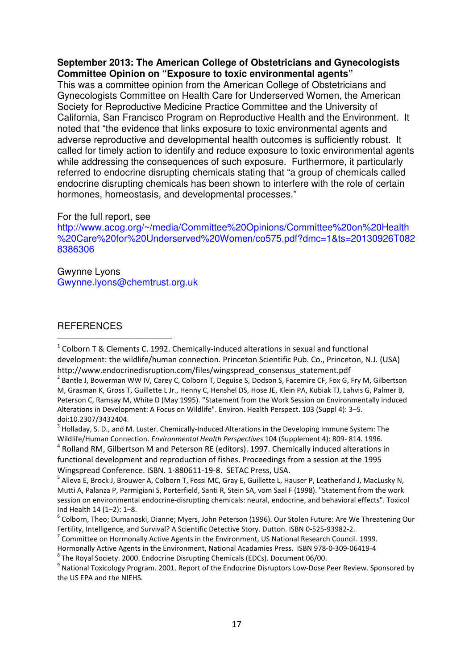#### **September 2013: The American College of Obstetricians and Gynecologists Committee Opinion on "Exposure to toxic environmental agents"**

This was a committee opinion from the American College of Obstetricians and Gynecologists Committee on Health Care for Underserved Women, the American Society for Reproductive Medicine Practice Committee and the University of California, San Francisco Program on Reproductive Health and the Environment. It noted that "the evidence that links exposure to toxic environmental agents and adverse reproductive and developmental health outcomes is sufficiently robust. It called for timely action to identify and reduce exposure to toxic environmental agents while addressing the consequences of such exposure. Furthermore, it particularly referred to endocrine disrupting chemicals stating that "a group of chemicals called endocrine disrupting chemicals has been shown to interfere with the role of certain hormones, homeostasis, and developmental processes."

For the full report, see

http://www.acog.org/~/media/Committee%20Opinions/Committee%20on%20Health %20Care%20for%20Underserved%20Women/co575.pdf?dmc=1&ts=20130926T082 8386306

Gwynne Lyons Gwynne.lyons@chemtrust.org.uk

### **REFERENCES**

 $\overline{a}$ 

 $^3$  Holladay, S. D., and M. Luster. Chemically-Induced Alterations in the Developing Immune System: The Wildlife/Human Connection. Environmental Health Perspectives 104 (Supplement 4): 809- 814. 1996.

<sup>4</sup> Rolland RM, Gilbertson M and Peterson RE (editors). 1997. Chemically induced alterations in functional development and reproduction of fishes. Proceedings from a session at the 1995 Wingspread Conference. ISBN. 1-880611-19-8. SETAC Press, USA.

 $1$  Colborn T & Clements C. 1992. Chemically-induced alterations in sexual and functional development: the wildlife/human connection. Princeton Scientific Pub. Co., Princeton, N.J. (USA) http://www.endocrinedisruption.com/files/wingspread\_consensus\_statement.pdf

<sup>&</sup>lt;sup>2</sup> Bantle J, Bowerman WW IV, Carey C, Colborn T, Deguise S, Dodson S, Facemire CF, Fox G, Fry M, Gilbertson M, Grasman K, Gross T, Guillette L Jr., Henny C, Henshel DS, Hose JE, Klein PA, Kubiak TJ, Lahvis G, Palmer B, Peterson C, Ramsay M, White D (May 1995). "Statement from the Work Session on Environmentally induced Alterations in Development: A Focus on Wildlife". Environ. Health Perspect. 103 (Suppl 4): 3–5. doi:10.2307/3432404.

<sup>&</sup>lt;sup>5</sup> Alleva E, Brock J, Brouwer A, Colborn T, Fossi MC, Gray E, Guillette L, Hauser P, Leatherland J, MacLusky N, Mutti A, Palanza P, Parmigiani S, Porterfield, Santi R, Stein SA, vom Saal F (1998). "Statement from the work session on environmental endocrine-disrupting chemicals: neural, endocrine, and behavioral effects". Toxicol Ind Health 14 (1–2): 1–8.

<sup>&</sup>lt;sup>6</sup> Colborn, Theo; Dumanoski, Dianne; Myers, John Peterson (1996). Our Stolen Future: Are We Threatening Our Fertility, Intelligence, and Survival? A Scientific Detective Story. Dutton. ISBN 0-525-93982-2.

 $<sup>7</sup>$  Committee on Hormonally Active Agents in the Environment, US National Research Council. 1999.</sup>

Hormonally Active Agents in the Environment, National Acadamies Press. ISBN 978-0-309-06419-4

 $^8$  The Royal Society. 2000. Endocrine Disrupting Chemicals (EDCs). Document 06/00.

 $^9$  National Toxicology Program. 2001. Report of the Endocrine Disruptors Low-Dose Peer Review. Sponsored by the US EPA and the NIEHS.